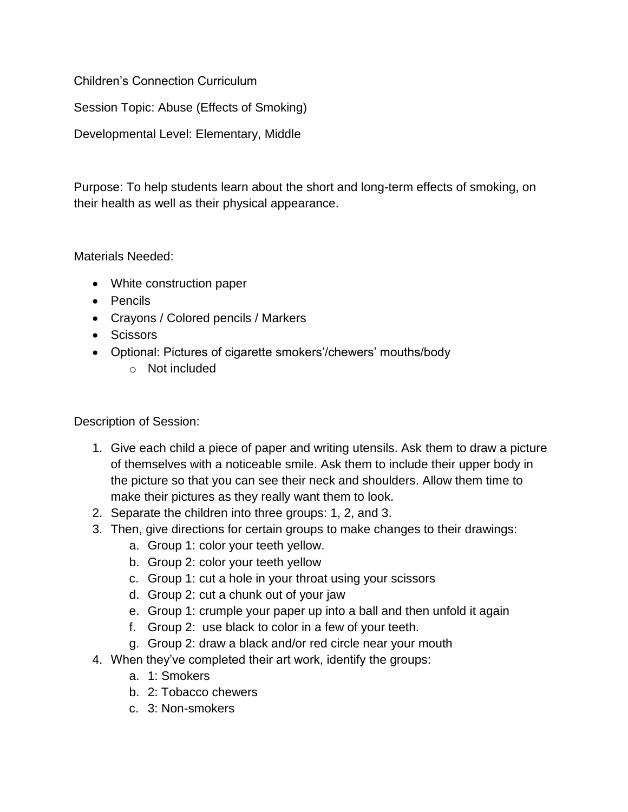Children's Connection Curriculum

Session Topic: Abuse (Effects of Smoking)

Developmental Level: Elementary, Middle

Purpose: To help students learn about the short and long-term effects of smoking, on their health as well as their physical appearance.

Materials Needed:

- White construction paper
- Pencils
- Crayons / Colored pencils / Markers
- Scissors
- Optional: Pictures of cigarette smokers'/chewers' mouths/body
	- o Not included

Description of Session:

- 1. Give each child a piece of paper and writing utensils. Ask them to draw a picture of themselves with a noticeable smile. Ask them to include their upper body in the picture so that you can see their neck and shoulders. Allow them time to make their pictures as they really want them to look.
- 2. Separate the children into three groups: 1, 2, and 3.
- 3. Then, give directions for certain groups to make changes to their drawings:
	- a. Group 1: color your teeth yellow.
	- b. Group 2: color your teeth yellow
	- c. Group 1: cut a hole in your throat using your scissors
	- d. Group 2: cut a chunk out of your jaw
	- e. Group 1: crumple your paper up into a ball and then unfold it again
	- f. Group 2: use black to color in a few of your teeth.
	- g. Group 2: draw a black and/or red circle near your mouth
- 4. When they've completed their art work, identify the groups:
	- a. 1: Smokers
	- b. 2: Tobacco chewers
	- c. 3: Non-smokers